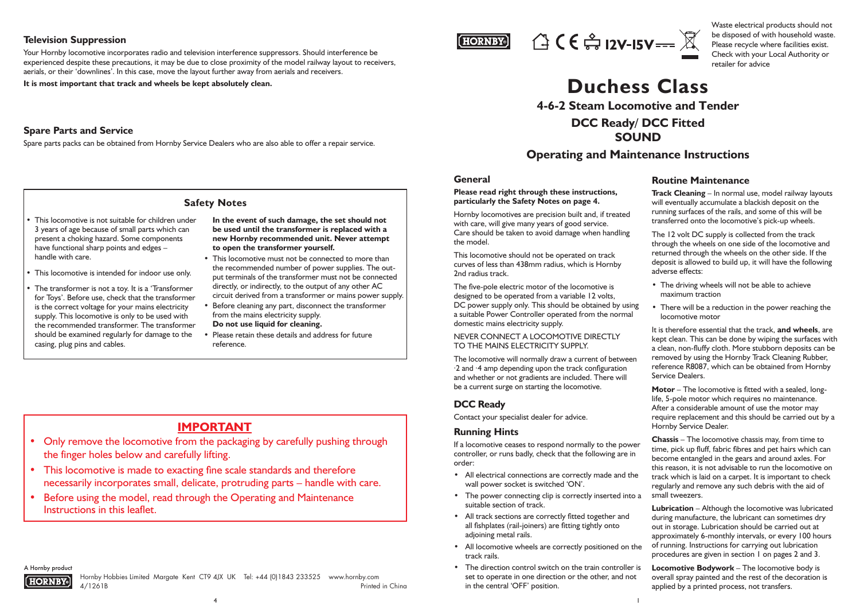## **Television Suppression**

Your Hornby locomotive incorporates radio and television interference suppressors. Should interference be experienced despite these precautions, it may be due to close proximity of the model railway layout to receivers, aerials, or their 'downlines'. In this case, move the layout further away from aerials and receivers.

**It is most important that track and wheels be kept absolutely clean.** 

## **Spare Parts and Service**

Spare parts packs can be obtained from Hornby Service Dealers who are also able to offer a repair service.

**Safety Notes**



- This locomotive is intended for indoor use only.
- The transformer is not a toy. It is a 'Transformer for Toys'. Before use, check that the transformer is the correct voltage for your mains electricity supply. This locomotive is only to be used with the recommended transformer. The transformer should be examined regularly for damage to the casing, plug pins and cables.

**In the event of such damage, the set should not be used until the transformer is replaced with a new Hornby recommended unit. Never attempt to open the transformer yourself.**

- This locomotive must not be connected to more than the recommended number of power supplies. The output terminals of the transformer must not be connected directly, or indirectly, to the output of any other AC circuit derived from a transformer or mains power supply.
- Before cleaning any part, disconnect the transformer from the mains electricity supply. **Do not use liquid for cleaning.**
- Please retain these details and address for future reference.

# **IMPORTANT**

- Only remove the locomotive from the packaging by carefully pushing through the finger holes below and carefully lifting.
- This locomotive is made to exacting fine scale standards and therefore necessarily incorporates small, delicate, protruding parts – handle with care.
- Before using the model, read through the Operating and Maintenance Instructions in this leaflet.

A Hornby product HORNBY







Waste electrical products should not be disposed of with household waste. Please recycle where facilities exist. Check with your Local Authority or retailer for advice

# **Duchess Class**

**4-6-2 Steam Locomotive and Tender**

# **DCC Ready/ DCC Fitted SOUND**

# **Operating and Maintenance Instructions**

## **General**

#### **Please read right through these instructions, particularly the Safety Notes on page 4.**

Hornby locomotives are precision built and, if treated with care, will give many years of good service. Care should be taken to avoid damage when handling the model.

This locomotive should not be operated on track curves of less than 438mm radius, which is Hornby 2nd radius track.

The five-pole electric motor of the locomotive is designed to be operated from a variable 12 volts, DC power supply only. This should be obtained by using a suitable Power Controller operated from the normal domestic mains electricity supply.

#### NEVER CONNECT A LOCOMOTIVE DIRECTLY TO THE MAINS ELECTRICITY SUPPLY.

The locomotive will normally draw a current of between ·2 and ·4 amp depending upon the track configuration and whether or not gradients are included. There will be a current surge on starting the locomotive.

# **DCC Ready**

Contact your specialist dealer for advice.

## **Running Hints**

If a locomotive ceases to respond normally to the power controller, or runs badly, check that the following are in order:

- All electrical connections are correctly made and the wall power socket is switched 'ON'.
- The power connecting clip is correctly inserted into a suitable section of track.
- All track sections are correctly fitted together and all fishplates (rail-joiners) are fitting tightly onto adjoining metal rails.
- All locomotive wheels are correctly positioned on the track rails.
- The direction control switch on the train controller is set to operate in one direction or the other, and not in the central 'OFF' position.

## **Routine Maintenance**

**Track Cleaning** – In normal use, model railway layouts will eventually accumulate a blackish deposit on the running surfaces of the rails, and some of this will be transferred onto the locomotive's pick-up wheels.

The 12 volt DC supply is collected from the track through the wheels on one side of the locomotive and returned through the wheels on the other side. If the deposit is allowed to build up, it will have the following adverse effects:

- The driving wheels will not be able to achieve maximum traction
- There will be a reduction in the power reaching the locomotive motor

It is therefore essential that the track, **and wheels**, are kept clean. This can be done by wiping the surfaces with a clean, non-fluffy cloth. More stubborn deposits can be removed by using the Hornby Track Cleaning Rubber, reference R8087, which can be obtained from Hornby Service Dealers.

**Motor** – The locomotive is fitted with a sealed, longlife, 5-pole motor which requires no maintenance. After a considerable amount of use the motor may require replacement and this should be carried out by a Hornby Service Dealer.

**Chassis** – The locomotive chassis may, from time to time, pick up fluff, fabric fibres and pet hairs which can become entangled in the gears and around axles. For this reason, it is not advisable to run the locomotive on track which is laid on a carpet. It is important to check regularly and remove any such debris with the aid of small tweezers.

**Lubrication** – Although the locomotive was lubricated during manufacture, the lubricant can sometimes dry out in storage. Lubrication should be carried out at approximately 6-monthly intervals, or every 100 hours of running. Instructions for carrying out lubrication procedures are given in section 1 on pages 2 and 3.

**Locomotive Bodywork** – The locomotive body is overall spray painted and the rest of the decoration is applied by a printed process, not transfers.